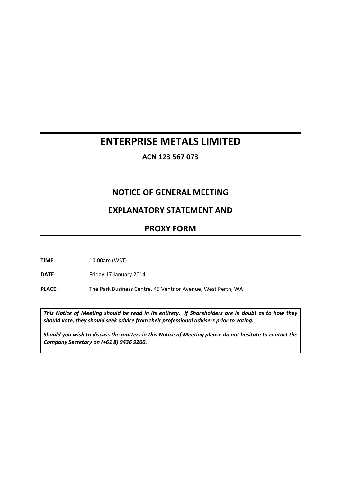# **ENTERPRISE METALS LIMITED**

**ACN 123 567 073**

# **NOTICE OF GENERAL MEETING**

# **EXPLANATORY STATEMENT AND**

## **PROXY FORM**

**TIME**: 10.00am (WST)

DATE: Friday 17 January 2014

PLACE: The Park Business Centre, 45 Ventnor Avenue, West Perth, WA

*This Notice of Meeting should be read in its entirety. If Shareholders are in doubt as to how they should vote, they should seek advice from their professional advisers prior to voting.*

*Should you wish to discuss the matters in this Notice of Meeting please do not hesitate to contact the Company Secretary on (+61 8) 9436 9200.*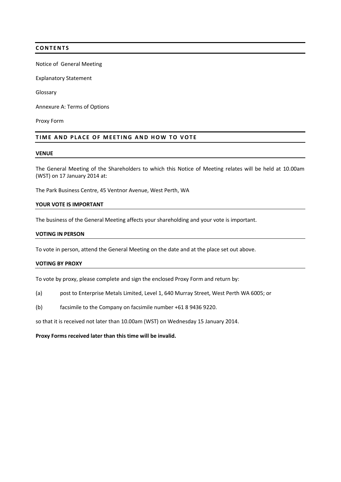#### **CONTENTS**

Notice of General Meeting

Explanatory Statement

Glossary

Annexure A: Terms of Options

Proxy Form

#### **TIME AND PLACE OF MEETING AND HOW TO VOTE**

#### **VENUE**

The General Meeting of the Shareholders to which this Notice of Meeting relates will be held at 10.00am (WST) on 17 January 2014 at:

The Park Business Centre, 45 Ventnor Avenue, West Perth, WA

#### **YOUR VOTE IS IMPORTANT**

The business of the General Meeting affects your shareholding and your vote is important.

#### **VOTING IN PERSON**

To vote in person, attend the General Meeting on the date and at the place set out above.

#### **VOTING BY PROXY**

To vote by proxy, please complete and sign the enclosed Proxy Form and return by:

- (a) post to Enterprise Metals Limited, Level 1, 640 Murray Street, West Perth WA 6005; or
- (b) facsimile to the Company on facsimile number +61 8 9436 9220.

so that it is received not later than 10.00am (WST) on Wednesday 15 January 2014.

#### **Proxy Forms received later than this time will be invalid.**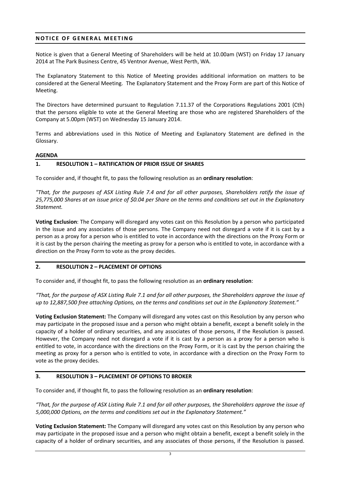### **NOTICE OF GENERAL MEETING**

Notice is given that a General Meeting of Shareholders will be held at 10.00am (WST) on Friday 17 January 2014 at The Park Business Centre, 45 Ventnor Avenue, West Perth, WA.

The Explanatory Statement to this Notice of Meeting provides additional information on matters to be considered at the General Meeting. The Explanatory Statement and the Proxy Form are part of this Notice of Meeting.

The Directors have determined pursuant to Regulation 7.11.37 of the Corporations Regulations 2001 (Cth) that the persons eligible to vote at the General Meeting are those who are registered Shareholders of the Company at 5.00pm (WST) on Wednesday 15 January 2014.

Terms and abbreviations used in this Notice of Meeting and Explanatory Statement are defined in the Glossary.

#### **AGENDA**

#### **1. RESOLUTION 1 – RATIFICATION OF PRIOR ISSUE OF SHARES**

To consider and, if thought fit, to pass the following resolution as an **ordinary resolution**:

*"That, for the purposes of ASX Listing Rule 7.4 and for all other purposes, Shareholders ratify the issue of 25,775,000 Shares at an issue price of \$0.04 per Share on the terms and conditions set out in the Explanatory Statement.*

**Voting Exclusion**: The Company will disregard any votes cast on this Resolution by a person who participated in the issue and any associates of those persons. The Company need not disregard a vote if it is cast by a person as a proxy for a person who is entitled to vote in accordance with the directions on the Proxy Form or it is cast by the person chairing the meeting as proxy for a person who is entitled to vote, in accordance with a direction on the Proxy Form to vote as the proxy decides.

#### **2. RESOLUTION 2 – PLACEMENT OF OPTIONS**

To consider and, if thought fit, to pass the following resolution as an **ordinary resolution**:

*"That, for the purpose of ASX Listing Rule 7.1 and for all other purposes, the Shareholders approve the issue of up to 12,887,500 free attaching Options, on the terms and conditions set out in the Explanatory Statement."*

**Voting Exclusion Statement:** The Company will disregard any votes cast on this Resolution by any person who may participate in the proposed issue and a person who might obtain a benefit, except a benefit solely in the capacity of a holder of ordinary securities, and any associates of those persons, if the Resolution is passed. However, the Company need not disregard a vote if it is cast by a person as a proxy for a person who is entitled to vote, in accordance with the directions on the Proxy Form, or it is cast by the person chairing the meeting as proxy for a person who is entitled to vote, in accordance with a direction on the Proxy Form to vote as the proxy decides.

#### **3. RESOLUTION 3 – PLACEMENT OF OPTIONS TO BROKER**

To consider and, if thought fit, to pass the following resolution as an **ordinary resolution**:

*"That, for the purpose of ASX Listing Rule 7.1 and for all other purposes, the Shareholders approve the issue of 5,000,000 Options, on the terms and conditions set out in the Explanatory Statement."*

**Voting Exclusion Statement:** The Company will disregard any votes cast on this Resolution by any person who may participate in the proposed issue and a person who might obtain a benefit, except a benefit solely in the capacity of a holder of ordinary securities, and any associates of those persons, if the Resolution is passed.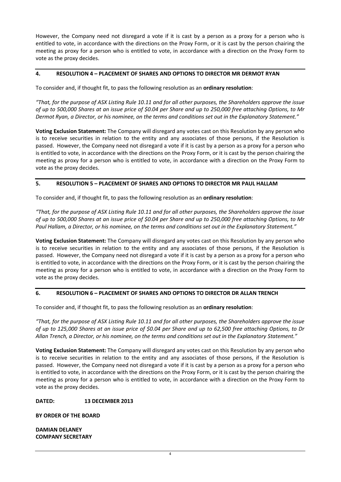However, the Company need not disregard a vote if it is cast by a person as a proxy for a person who is entitled to vote, in accordance with the directions on the Proxy Form, or it is cast by the person chairing the meeting as proxy for a person who is entitled to vote, in accordance with a direction on the Proxy Form to vote as the proxy decides.

### **4. RESOLUTION 4 – PLACEMENT OF SHARES AND OPTIONS TO DIRECTOR MR DERMOT RYAN**

To consider and, if thought fit, to pass the following resolution as an **ordinary resolution**:

*"That, for the purpose of ASX Listing Rule 10.11 and for all other purposes, the Shareholders approve the issue of up to 500,000 Shares at an issue price of \$0.04 per Share and up to 250,000 free attaching Options, to Mr Dermot Ryan, a Director, or his nominee, on the terms and conditions set out in the Explanatory Statement."*

**Voting Exclusion Statement:** The Company will disregard any votes cast on this Resolution by any person who is to receive securities in relation to the entity and any associates of those persons, if the Resolution is passed. However, the Company need not disregard a vote if it is cast by a person as a proxy for a person who is entitled to vote, in accordance with the directions on the Proxy Form, or it is cast by the person chairing the meeting as proxy for a person who is entitled to vote, in accordance with a direction on the Proxy Form to vote as the proxy decides.

### **5. RESOLUTION 5 – PLACEMENT OF SHARES AND OPTIONS TO DIRECTOR MR PAUL HALLAM**

To consider and, if thought fit, to pass the following resolution as an **ordinary resolution**:

*"That, for the purpose of ASX Listing Rule 10.11 and for all other purposes, the Shareholders approve the issue of up to 500,000 Shares at an issue price of \$0.04 per Share and up to 250,000 free attaching Options, to Mr Paul Hallam, a Director, or his nominee, on the terms and conditions set out in the Explanatory Statement."*

**Voting Exclusion Statement:** The Company will disregard any votes cast on this Resolution by any person who is to receive securities in relation to the entity and any associates of those persons, if the Resolution is passed. However, the Company need not disregard a vote if it is cast by a person as a proxy for a person who is entitled to vote, in accordance with the directions on the Proxy Form, or it is cast by the person chairing the meeting as proxy for a person who is entitled to vote, in accordance with a direction on the Proxy Form to vote as the proxy decides.

## **6. RESOLUTION 6 – PLACEMENT OF SHARES AND OPTIONS TO DIRECTOR DR ALLAN TRENCH**

To consider and, if thought fit, to pass the following resolution as an **ordinary resolution**:

*"That, for the purpose of ASX Listing Rule 10.11 and for all other purposes, the Shareholders approve the issue of up to 125,000 Shares at an issue price of \$0.04 per Share and up to 62,500 free attaching Options, to Dr Allan Trench, a Director, or his nominee, on the terms and conditions set out in the Explanatory Statement."*

**Voting Exclusion Statement:** The Company will disregard any votes cast on this Resolution by any person who is to receive securities in relation to the entity and any associates of those persons, if the Resolution is passed. However, the Company need not disregard a vote if it is cast by a person as a proxy for a person who is entitled to vote, in accordance with the directions on the Proxy Form, or it is cast by the person chairing the meeting as proxy for a person who is entitled to vote, in accordance with a direction on the Proxy Form to vote as the proxy decides.

### **DATED: 13 DECEMBER 2013**

**BY ORDER OF THE BOARD**

**DAMIAN DELANEY COMPANY SECRETARY**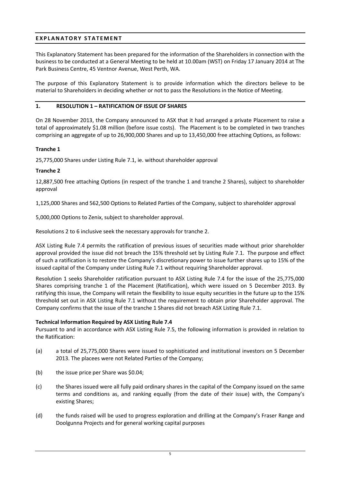### **EXPLANATORY STATEMENT**

This Explanatory Statement has been prepared for the information of the Shareholders in connection with the business to be conducted at a General Meeting to be held at 10.00am (WST) on Friday 17 January 2014 at The Park Business Centre, 45 Ventnor Avenue, West Perth, WA.

The purpose of this Explanatory Statement is to provide information which the directors believe to be material to Shareholders in deciding whether or not to pass the Resolutions in the Notice of Meeting.

### **1. RESOLUTION 1 – RATIFICATION OF ISSUE OF SHARES**

On 28 November 2013, the Company announced to ASX that it had arranged a private Placement to raise a total of approximately \$1.08 million (before issue costs). The Placement is to be completed in two tranches comprising an aggregate of up to 26,900,000 Shares and up to 13,450,000 free attaching Options, as follows:

### **Tranche 1**

25,775,000 Shares under Listing Rule 7.1, ie. without shareholder approval

### **Tranche 2**

12,887,500 free attaching Options (in respect of the tranche 1 and tranche 2 Shares), subject to shareholder approval

1,125,000 Shares and 562,500 Options to Related Parties of the Company, subject to shareholder approval

5,000,000 Options to Zenix, subject to shareholder approval.

Resolutions 2 to 6 inclusive seek the necessary approvals for tranche 2.

ASX Listing Rule 7.4 permits the ratification of previous issues of securities made without prior shareholder approval provided the issue did not breach the 15% threshold set by Listing Rule 7.1. The purpose and effect of such a ratification is to restore the Company's discretionary power to issue further shares up to 15% of the issued capital of the Company under Listing Rule 7.1 without requiring Shareholder approval.

Resolution 1 seeks Shareholder ratification pursuant to ASX Listing Rule 7.4 for the issue of the 25,775,000 Shares comprising tranche 1 of the Placement (Ratification), which were issued on 5 December 2013. By ratifying this issue, the Company will retain the flexibility to issue equity securities in the future up to the 15% threshold set out in ASX Listing Rule 7.1 without the requirement to obtain prior Shareholder approval. The Company confirms that the issue of the tranche 1 Shares did not breach ASX Listing Rule 7.1.

#### **Technical Information Required by ASX Listing Rule 7.4**

Pursuant to and in accordance with ASX Listing Rule 7.5, the following information is provided in relation to the Ratification:

- (a) a total of 25,775,000 Shares were issued to sophisticated and institutional investors on 5 December 2013. The placees were not Related Parties of the Company;
- (b) the issue price per Share was \$0.04;
- (c) the Shares issued were all fully paid ordinary shares in the capital of the Company issued on the same terms and conditions as, and ranking equally (from the date of their issue) with, the Company's existing Shares;
- (d) the funds raised will be used to progress exploration and drilling at the Company's Fraser Range and Doolgunna Projects and for general working capital purposes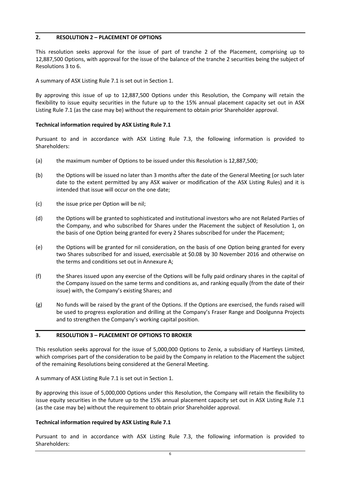### **2. RESOLUTION 2 – PLACEMENT OF OPTIONS**

This resolution seeks approval for the issue of part of tranche 2 of the Placement, comprising up to 12,887,500 Options, with approval for the issue of the balance of the tranche 2 securities being the subject of Resolutions 3 to 6.

A summary of ASX Listing Rule 7.1 is set out in Section 1.

By approving this issue of up to 12,887,500 Options under this Resolution, the Company will retain the flexibility to issue equity securities in the future up to the 15% annual placement capacity set out in ASX Listing Rule 7.1 (as the case may be) without the requirement to obtain prior Shareholder approval.

### **Technical information required by ASX Listing Rule 7.1**

Pursuant to and in accordance with ASX Listing Rule 7.3, the following information is provided to Shareholders:

- (a) the maximum number of Options to be issued under this Resolution is 12,887,500;
- (b) the Options will be issued no later than 3 months after the date of the General Meeting (or such later date to the extent permitted by any ASX waiver or modification of the ASX Listing Rules) and it is intended that issue will occur on the one date;
- (c) the issue price per Option will be nil;
- (d) the Options will be granted to sophisticated and institutional investors who are not Related Parties of the Company, and who subscribed for Shares under the Placement the subject of Resolution 1, on the basis of one Option being granted for every 2 Shares subscribed for under the Placement;
- (e) the Options will be granted for nil consideration, on the basis of one Option being granted for every two Shares subscribed for and issued, exercisable at \$0.08 by 30 November 2016 and otherwise on the terms and conditions set out in Annexure A;
- (f) the Shares issued upon any exercise of the Options will be fully paid ordinary shares in the capital of the Company issued on the same terms and conditions as, and ranking equally (from the date of their issue) with, the Company's existing Shares; and
- (g) No funds will be raised by the grant of the Options. If the Options are exercised, the funds raised will be used to progress exploration and drilling at the Company's Fraser Range and Doolgunna Projects and to strengthen the Company's working capital position.

### **3. RESOLUTION 3 – PLACEMENT OF OPTIONS TO BROKER**

This resolution seeks approval for the issue of 5,000,000 Options to Zenix, a subsidiary of Hartleys Limited, which comprises part of the consideration to be paid by the Company in relation to the Placement the subject of the remaining Resolutions being considered at the General Meeting.

A summary of ASX Listing Rule 7.1 is set out in Section 1.

By approving this issue of 5,000,000 Options under this Resolution, the Company will retain the flexibility to issue equity securities in the future up to the 15% annual placement capacity set out in ASX Listing Rule 7.1 (as the case may be) without the requirement to obtain prior Shareholder approval.

#### **Technical information required by ASX Listing Rule 7.1**

Pursuant to and in accordance with ASX Listing Rule 7.3, the following information is provided to Shareholders: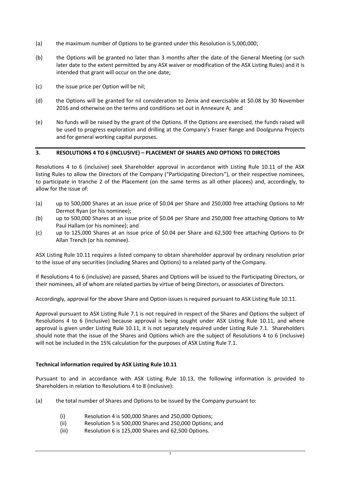- (a) the maximum number of Options to be granted under this Resolution is 5,000,000;
- (b) the Options will be granted no later than 3 months after the date of the General Meeting (or such later date to the extent permitted by any ASX waiver or modification of the ASX Listing Rules) and it is intended that grant will occur on the one date;
- (c) the issue price per Option will be nil;
- (d) the Options will be granted for nil consideration to Zenix and exercisable at \$0.08 by 30 November 2016 and otherwise on the terms and conditions set out in Annexure A; and
- (e) No funds will be raised by the grant of the Options. If the Options are exercised, the funds raised will be used to progress exploration and drilling at the Company's Fraser Range and Doolgunna Projects and for general working capital purposes.

#### **3. RESOLUTIONS 4 TO 6 (INCLUSIVE) – PLACEMENT OF SHARES AND OPTIONS TO DIRECTORS**

Resolutions 4 to 6 (inclusive) seek Shareholder approval in accordance with Listing Rule 10.11 of the ASX listing Rules to allow the Directors of the Company ("Participating Directors"), or their respective nominees, to participate in tranche 2 of the Placement (on the same terms as all other placees) and, accordingly, to allow for the issue of:

- (a) up to 500,000 Shares at an issue price of \$0.04 per Share and 250,000 free attaching Options to Mr Dermot Ryan (or his nominee);
- (b) up to 500,000 Shares at an issue price of \$0.04 per Share and 250,000 free attaching Options to Mr Paul Hallam (or his nominee); and
- (c) up to 125,000 Shares at an issue price of \$0.04 per Share and 62,500 free attaching Options to Dr Allan Trench (or his nominee).

ASX Listing Rule 10.11 requires a listed company to obtain shareholder approval by ordinary resolution prior to the issue of any securities (including Shares and Options) to a related party of the Company.

If Resolutions 4 to 6 (inclusive) are passed, Shares and Options will be issued to the Participating Directors, or their nominees, all of whom are related parties by virtue of being Directors, or associates of Directors.

Accordingly, approval for the above Share and Option issues is required pursuant to ASX Listing Rule 10.11.

Approval pursuant to ASX Listing Rule 7.1 is not required in respect of the Shares and Options the subject of Resolutions 4 to 6 (inclusive) because approval is being sought under ASX Listing Rule 10.11, and where approval is given under Listing Rule 10.11, it is not separately required under Listing Rule 7.1. Shareholders should note that the issue of the Shares and Options which are the subject of Resolutions 4 to 6 (inclusive) will not be included in the 15% calculation for the purposes of ASX Listing Rule 7.1.

#### **Technical information required by ASX Listing Rule 10.11**

Pursuant to and in accordance with ASX Listing Rule 10.13, the following information is provided to Shareholders in relation to Resolutions 4 to 8 (inclusive):

- (a) the total number of Shares and Options to be issued by the Company pursuant to:
	- (i) Resolution 4 is 500,000 Shares and 250,000 Options;
	- (ii) Resolution 5 is 500,000 Shares and 250,000 Options; and
	- (iii) Resolution 6 is 125,000 Shares and 62,500 Options.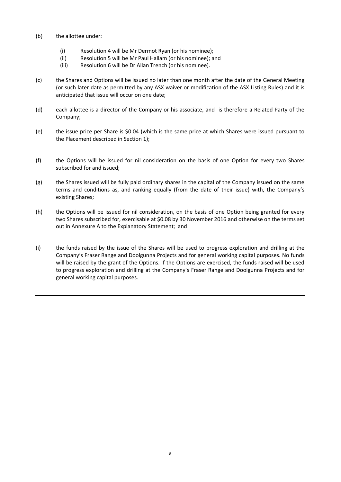- (b) the allottee under:
	- (i) Resolution 4 will be Mr Dermot Ryan (or his nominee);
	- (ii) Resolution 5 will be Mr Paul Hallam (or his nominee); and
	- (iii) Resolution 6 will be Dr Allan Trench (or his nominee).
- (c) the Shares and Options will be issued no later than one month after the date of the General Meeting (or such later date as permitted by any ASX waiver or modification of the ASX Listing Rules) and it is anticipated that issue will occur on one date;
- (d) each allottee is a director of the Company or his associate, and is therefore a Related Party of the Company;
- (e) the issue price per Share is \$0.04 (which is the same price at which Shares were issued pursuant to the Placement described in Section 1);
- (f) the Options will be issued for nil consideration on the basis of one Option for every two Shares subscribed for and issued;
- (g) the Shares issued will be fully paid ordinary shares in the capital of the Company issued on the same terms and conditions as, and ranking equally (from the date of their issue) with, the Company's existing Shares;
- (h) the Options will be issued for nil consideration, on the basis of one Option being granted for every two Shares subscribed for, exercisable at \$0.08 by 30 November 2016 and otherwise on the terms set out in Annexure A to the Explanatory Statement; and
- (i) the funds raised by the issue of the Shares will be used to progress exploration and drilling at the Company's Fraser Range and Doolgunna Projects and for general working capital purposes. No funds will be raised by the grant of the Options. If the Options are exercised, the funds raised will be used to progress exploration and drilling at the Company's Fraser Range and Doolgunna Projects and for general working capital purposes.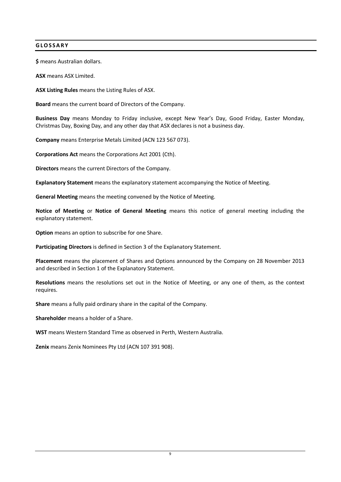### **GLOSSARY**

**\$** means Australian dollars.

**ASX** means ASX Limited.

**ASX Listing Rules** means the Listing Rules of ASX.

**Board** means the current board of Directors of the Company.

**Business Day** means Monday to Friday inclusive, except New Year's Day, Good Friday, Easter Monday, Christmas Day, Boxing Day, and any other day that ASX declares is not a business day.

**Company** means Enterprise Metals Limited (ACN 123 567 073).

**Corporations Act** means the Corporations Act 2001 (Cth).

**Directors** means the current Directors of the Company.

**Explanatory Statement** means the explanatory statement accompanying the Notice of Meeting.

**General Meeting** means the meeting convened by the Notice of Meeting.

**Notice of Meeting** or **Notice of General Meeting** means this notice of general meeting including the explanatory statement.

**Option** means an option to subscribe for one Share.

**Participating Directors** is defined in Section 3 of the Explanatory Statement.

**Placement** means the placement of Shares and Options announced by the Company on 28 November 2013 and described in Section 1 of the Explanatory Statement.

**Resolutions** means the resolutions set out in the Notice of Meeting, or any one of them, as the context requires.

**Share** means a fully paid ordinary share in the capital of the Company.

**Shareholder** means a holder of a Share.

**WST** means Western Standard Time as observed in Perth, Western Australia.

**Zenix** means Zenix Nominees Pty Ltd (ACN 107 391 908).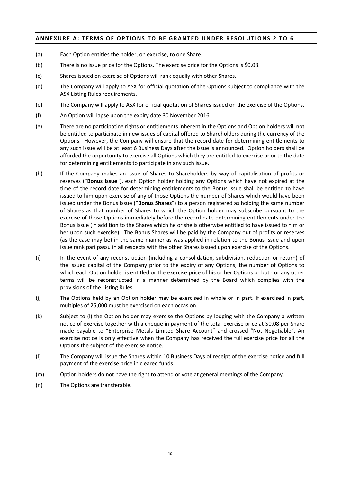### **ANNEXURE A: TERMS OF OPTIONS TO BE GRANTED UNDER RESOLUTIONS 2 TO 6**

- (a) Each Option entitles the holder, on exercise, to one Share.
- (b) There is no issue price for the Options. The exercise price for the Options is \$0.08.
- (c) Shares issued on exercise of Options will rank equally with other Shares.
- (d) The Company will apply to ASX for official quotation of the Options subject to compliance with the ASX Listing Rules requirements.
- (e) The Company will apply to ASX for official quotation of Shares issued on the exercise of the Options.
- (f) An Option will lapse upon the expiry date 30 November 2016.
- (g) There are no participating rights or entitlements inherent in the Options and Option holders will not be entitled to participate in new issues of capital offered to Shareholders during the currency of the Options. However, the Company will ensure that the record date for determining entitlements to any such issue will be at least 6 Business Days after the issue is announced. Option holders shall be afforded the opportunity to exercise all Options which they are entitled to exercise prior to the date for determining entitlements to participate in any such issue.
- (h) If the Company makes an issue of Shares to Shareholders by way of capitalisation of profits or reserves ("**Bonus Issue**"), each Option holder holding any Options which have not expired at the time of the record date for determining entitlements to the Bonus Issue shall be entitled to have issued to him upon exercise of any of those Options the number of Shares which would have been issued under the Bonus Issue ("**Bonus Shares**") to a person registered as holding the same number of Shares as that number of Shares to which the Option holder may subscribe pursuant to the exercise of those Options immediately before the record date determining entitlements under the Bonus Issue (in addition to the Shares which he or she is otherwise entitled to have issued to him or her upon such exercise). The Bonus Shares will be paid by the Company out of profits or reserves (as the case may be) in the same manner as was applied in relation to the Bonus Issue and upon issue rank pari passu in all respects with the other Shares issued upon exercise of the Options.
- (i) In the event of any reconstruction (including a consolidation, subdivision, reduction or return) of the issued capital of the Company prior to the expiry of any Options, the number of Options to which each Option holder is entitled or the exercise price of his or her Options or both or any other terms will be reconstructed in a manner determined by the Board which complies with the provisions of the Listing Rules.
- (j) The Options held by an Option holder may be exercised in whole or in part. If exercised in part, multiples of 25,000 must be exercised on each occasion.
- (k) Subject to (l) the Option holder may exercise the Options by lodging with the Company a written notice of exercise together with a cheque in payment of the total exercise price at \$0.08 per Share made payable to "Enterprise Metals Limited Share Account" and crossed "Not Negotiable". An exercise notice is only effective when the Company has received the full exercise price for all the Options the subject of the exercise notice.
- (l) The Company will issue the Shares within 10 Business Days of receipt of the exercise notice and full payment of the exercise price in cleared funds.
- (m) Option holders do not have the right to attend or vote at general meetings of the Company.
- (n) The Options are transferable.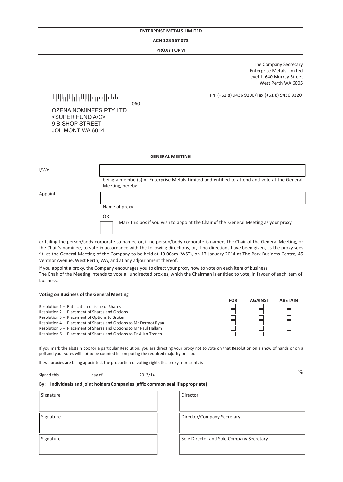#### **ACN 123 567 073**

## $PROXY$ FORM

*dowest Perth WA 6005* **The Company Secretary** Enterprise Metals Limited Level 1, 640 Murray Street

**<sup>2</sup>MQ/Eax (+61 8) 9436 9220** *Ph* (+61 8) 9436 9200/Fax (+61 8) 9436 9220

1301012201302012110100312232300331313 <sup>050</sup>

OZENA NOMINEES PTY LTD <SUPER FUND A/C> 9 BISHOP STREET JOLIMONT WA 6014

#### **GENERAL MEETING**

| I/We    |                                                                                                                  |
|---------|------------------------------------------------------------------------------------------------------------------|
|         | being a member(s) of Enterprise Metals Limited and entitled to attend and vote at the General<br>Meeting, hereby |
| Appoint |                                                                                                                  |
|         | Name of proxy                                                                                                    |
|         | 0R                                                                                                               |
|         | Mark this box if you wish to appoint the Chair of the General Meeting as your proxy                              |

or failing the person/body corporate so named or, if no person/body corporate is named, the Chair of the General Meeting, or the Chair's nominee, to vote in accordance with the following directions, or, if no directions have been given, as the proxy sees fit, at the General Meeting of the Company to be held at 10.00am (WST), on 17 January 2014 at The Park Business Centre, 45 *o*<br> *dentnor Avenue, West Perth, WA, and at any adjournment thereof. SE SA SAY*<br>*SE SEY SAY* 

*If you appoint a proxy, the Company encourages you to direct your proxy how to vote on each item of business.* The Chair of the Meeting intends to vote all undirected proxies, which the Chairman is entitled to vote, in favour of each item of<br>business business. *&KZ '/E^d ^d/E*

#### *V*oting on Business of the General Meeting *ZĞƐŽůƵƚŝŽŶϭʹZĂƚŝĨŝĐĂƚŝŽŶŽĨŝƐƐƵĞŽĨ^ŚĂƌĞƐ*

|                                                                   | <b>FOR</b> | <b>AGAINST</b> | <b>ABSTAIN</b> |
|-------------------------------------------------------------------|------------|----------------|----------------|
| Resolution 1 – Ratification of issue of Shares                    |            |                |                |
| Resolution 2 - Placement of Shares and Options                    |            |                |                |
| Resolution 3 - Placement of Options to Broker                     |            |                |                |
| Resolution 4 - Placement of Shares and Options to Mr Dermot Ryan  |            |                |                |
| Resolution 5 - Placement of Shares and Options to Mr Paul Hallam  |            |                |                |
| Resolution 6 - Placement of Shares and Options to Dr Allan Trench |            |                |                |
|                                                                   |            |                |                |

*If you mark the abstain box for a particular Resolution, you are directing your proxy not to vote on that Resolution on a show of hands or on a* poll and your votes will not to be counted in computing the required majority on a poll.

*If two proxies are being appointed, the proportion of voting rights this proxy represents is* 

Signed this day of 2013/14 **Ĝ**  *ȱȱȱȱȱȱȱȱȱȱȱȱȱȱȱȱȱȱȱȱƖȱ*

#### By: Individuals and joint holders Companies (affix common seal if appropriate)

| Signature | Director                                 |  |
|-----------|------------------------------------------|--|
|           |                                          |  |
| Signature | Director/Company Secretary               |  |
|           |                                          |  |
| Signature | Sole Director and Sole Company Secretary |  |
|           |                                          |  |